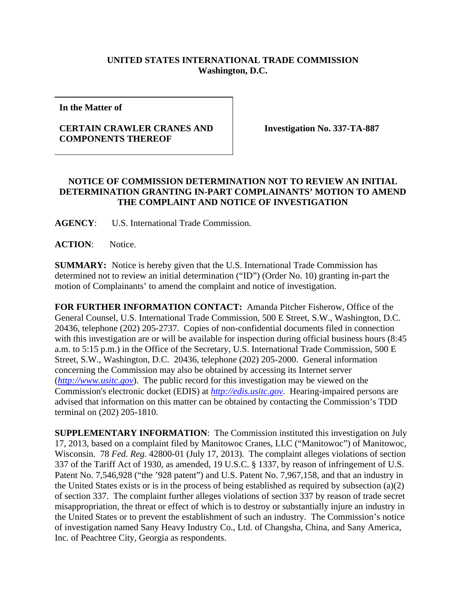## **UNITED STATES INTERNATIONAL TRADE COMMISSION Washington, D.C.**

**In the Matter of** 

## **CERTAIN CRAWLER CRANES AND COMPONENTS THEREOF**

**Investigation No. 337-TA-887** 

## **NOTICE OF COMMISSION DETERMINATION NOT TO REVIEW AN INITIAL DETERMINATION GRANTING IN-PART COMPLAINANTS' MOTION TO AMEND THE COMPLAINT AND NOTICE OF INVESTIGATION**

**AGENCY**: U.S. International Trade Commission.

**ACTION**: Notice.

**SUMMARY:** Notice is hereby given that the U.S. International Trade Commission has determined not to review an initial determination ("ID") (Order No. 10) granting in-part the motion of Complainants' to amend the complaint and notice of investigation.

**FOR FURTHER INFORMATION CONTACT:** Amanda Pitcher Fisherow, Office of the General Counsel, U.S. International Trade Commission, 500 E Street, S.W., Washington, D.C. 20436, telephone (202) 205-2737. Copies of non-confidential documents filed in connection with this investigation are or will be available for inspection during official business hours (8:45 a.m. to 5:15 p.m.) in the Office of the Secretary, U.S. International Trade Commission, 500 E Street, S.W., Washington, D.C. 20436, telephone (202) 205-2000. General information concerning the Commission may also be obtained by accessing its Internet server (*http://www.usitc.gov*). The public record for this investigation may be viewed on the Commission's electronic docket (EDIS) at *http://edis.usitc.gov*. Hearing-impaired persons are advised that information on this matter can be obtained by contacting the Commission's TDD terminal on (202) 205-1810.

**SUPPLEMENTARY INFORMATION**: The Commission instituted this investigation on July 17, 2013, based on a complaint filed by Manitowoc Cranes, LLC ("Manitowoc") of Manitowoc, Wisconsin. 78 *Fed. Reg.* 42800-01 (July 17, 2013). The complaint alleges violations of section 337 of the Tariff Act of 1930, as amended, 19 U.S.C. § 1337, by reason of infringement of U.S. Patent No. 7,546,928 ("the '928 patent") and U.S. Patent No. 7,967,158, and that an industry in the United States exists or is in the process of being established as required by subsection (a)(2) of section 337. The complaint further alleges violations of section 337 by reason of trade secret misappropriation, the threat or effect of which is to destroy or substantially injure an industry in the United States or to prevent the establishment of such an industry. The Commission's notice of investigation named Sany Heavy Industry Co., Ltd. of Changsha, China, and Sany America, Inc. of Peachtree City, Georgia as respondents.